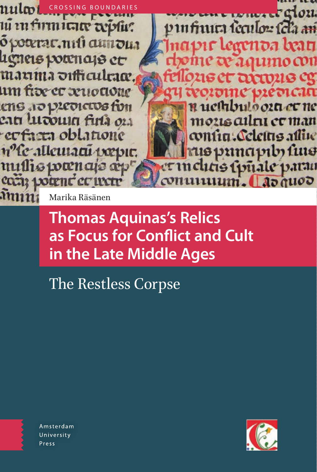

Marika Räsänen

**Thomas Aquinas's Relics as Focus for Conflict and Cult in the Late Middle Ages**

The Restless Corpse



Amsterdam University Press

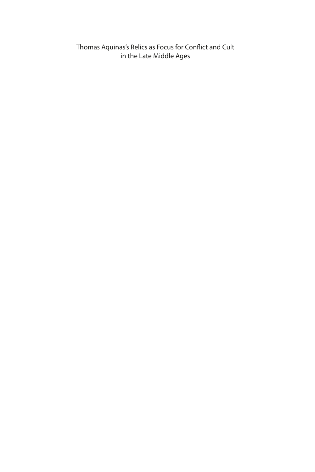Thomas Aquinas's Relics as Focus for Conflict and Cult in the Late Middle Ages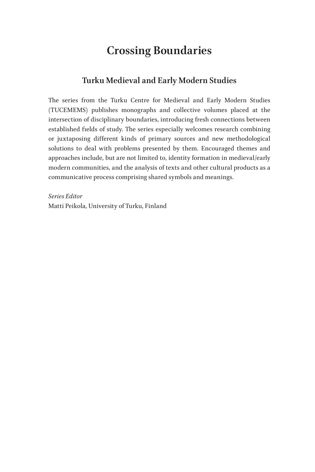# **Crossing Boundaries**

### **Turku Medieval and Early Modern Studies**

The series from the Turku Centre for Medieval and Early Modern Studies (TUCEMEMS) publishes monographs and collective volumes placed at the intersection of disciplinary boundaries, introducing fresh connections between established fields of study. The series especially welcomes research combining or juxtaposing different kinds of primary sources and new methodological solutions to deal with problems presented by them. Encouraged themes and approaches include, but are not limited to, identity formation in medieval/early modern communities, and the analysis of texts and other cultural products as a communicative process comprising shared symbols and meanings.

*Series Editor* Matti Peikola, University of Turku, Finland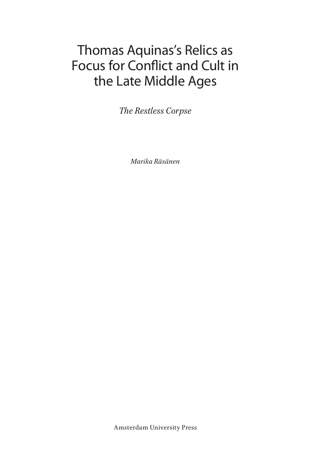# Thomas Aquinas's Relics as Focus for Conflict and Cult in the Late Middle Ages

*The Restless Corpse*

*Marika Räsänen*

Amsterdam University Press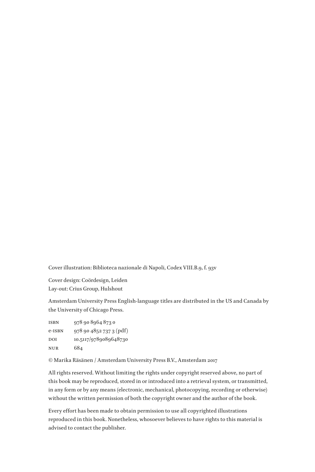Cover illustration: Biblioteca nazionale di Napoli, Codex VIII.B.9, f. 93v

Cover design: Coördesign, Leiden Lay-out: Crius Group, Hulshout

Amsterdam University Press English-language titles are distributed in the US and Canada by the University of Chicago Press.

| ISBN   | 978 90 8964 873 0       |
|--------|-------------------------|
| e-ISBN | 978 90 4852 737 3 (pdf) |
| DOI    | 10.5117/9789089648730   |
| NUR    | 684                     |

© Marika Räsänen / Amsterdam University Press B.V., Amsterdam 2017

All rights reserved. Without limiting the rights under copyright reserved above, no part of this book may be reproduced, stored in or introduced into a retrieval system, or transmitted, in any form or by any means (electronic, mechanical, photocopying, recording or otherwise) without the written permission of both the copyright owner and the author of the book.

Every effort has been made to obtain permission to use all copyrighted illustrations reproduced in this book. Nonetheless, whosoever believes to have rights to this material is advised to contact the publisher.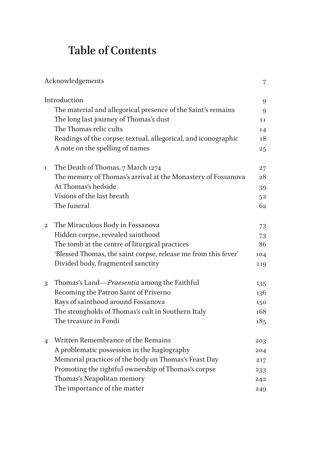# **Table of Contents**

|                         | Acknowledgements                                               | $\overline{7}$ |
|-------------------------|----------------------------------------------------------------|----------------|
|                         | Introduction                                                   | 9              |
|                         | The material and allegorical presence of the Saint's remains   | 9              |
|                         | The long last journey of Thomas's dust                         | 11             |
|                         | The Thomas relic cults                                         | 14             |
|                         | Readings of the corpse: textual, allegorical, and iconographic | 18             |
|                         | A note on the spelling of names                                | 25             |
| $\mathbf 1$             | The Death of Thomas, 7 March 1274                              | 27             |
|                         | The memory of Thomas's arrival at the Monastery of Fossanova   | 28             |
|                         | At Thomas's bedside                                            | 39             |
|                         | Visions of the last breath                                     | 52             |
|                         | The funeral                                                    | 62             |
| $\boldsymbol{2}$        | The Miraculous Body in Fossanova                               | 73             |
|                         | Hidden corpse, revealed sainthood                              | 73             |
|                         | The tomb at the centre of liturgical practices                 | 86             |
|                         | 'Blessed Thomas, the saint corpse, release me from this fever' | 104            |
|                         | Divided body, fragmented sanctity                              | 119            |
| 3                       | Thomas's Land-Praesentia among the Faithful                    | 135            |
|                         | Becoming the Patron Saint of Priverno                          | 136            |
|                         | Rays of sainthood around Fossanova                             | 150            |
|                         | The strongholds of Thomas's cult in Southern Italy             | 168            |
|                         | The treasure in Fondi                                          | 185            |
| $\overline{\mathbf{4}}$ | Written Remembrance of the Remains                             | 203            |
|                         | A problematic possession in the hagiography                    | 204            |
|                         | Memorial practices of the body on Thomas's Feast Day           | 217            |
|                         | Promoting the rightful ownership of Thomas's corpse            | 233            |
|                         | Thomas's Neapolitan memory                                     | 242            |
|                         | The importance of the matter                                   | 249            |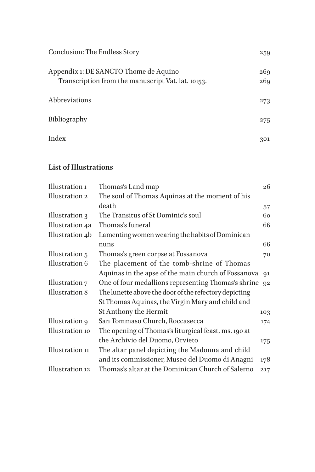| Conclusion: The Endless Story                                                               | 259        |
|---------------------------------------------------------------------------------------------|------------|
| Appendix 1: DE SANCTO Thome de Aquino<br>Transcription from the manuscript Vat. lat. 10153. | 269<br>269 |
| Abbreviations                                                                               | 273        |
| Bibliography                                                                                | 275        |
| Index                                                                                       | 301        |

## **List of Illustrations**

| Illustration 1              | Thomas's Land map                                     | 26  |
|-----------------------------|-------------------------------------------------------|-----|
| Illustration 2              | The soul of Thomas Aquinas at the moment of his       |     |
|                             | death                                                 | 57  |
| Illustration 3              | The Transitus of St Dominic's soul                    | 60  |
| Illustration 4a             | Thomas's funeral                                      | 66  |
| Illustration <sub>4</sub> b | Lamenting women wearing the habits of Dominican       |     |
|                             | nuns                                                  | 66  |
| Illustration 5              | Thomas's green corpse at Fossanova                    | 70  |
| Illustration 6              | The placement of the tomb-shrine of Thomas            |     |
|                             | Aquinas in the apse of the main church of Fossanova   | Q1  |
| Illustration 7              | One of four medallions representing Thomas's shrine   | 92  |
| Illustration 8              | The lunette above the door of the refectory depicting |     |
|                             | St Thomas Aquinas, the Virgin Mary and child and      |     |
|                             | St Anthony the Hermit                                 | 103 |
| Illustration 9              | San Tommaso Church, Roccasecca                        | 174 |
| Illustration 10             | The opening of Thomas's liturgical feast, ms. 190 at  |     |
|                             | the Archivio del Duomo, Orvieto                       | 175 |
| Illustration 11             | The altar panel depicting the Madonna and child       |     |
|                             | and its commissioner, Museo del Duomo di Anagni       | 178 |
| Illustration 12             | Thomas's altar at the Dominican Church of Salerno     | 217 |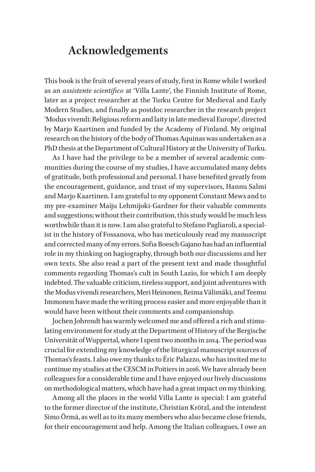## <span id="page-7-0"></span>**Acknowledgements**

This book is the fruit of several years of study, first in Rome while I worked as an *assistente scientifico* at 'Villa Lante', the Finnish Institute of Rome, later as a project researcher at the Turku Centre for Medieval and Early Modern Studies, and finally as postdoc researcher in the research project 'Modus vivendi: Religious reform and laity in late medieval Europe', directed by Marjo Kaartinen and funded by the Academy of Finland. My original research on the history of the body of Thomas Aquinas was undertaken as a PhD thesis at the Department of Cultural History at the University of Turku.

As I have had the privilege to be a member of several academic communities during the course of my studies, I have accumulated many debts of gratitude, both professional and personal. I have benefited greatly from the encouragement, guidance, and trust of my supervisors, Hannu Salmi and Marjo Kaartinen. I am grateful to my opponent Constant Mews and to my pre-examiner Maiju Lehmijoki-Gardner for their valuable comments and suggestions; without their contribution, this study would be much less worthwhile than it is now. I am also grateful to Stefano Pagliaroli, a specialist in the history of Fossanova, who has meticulously read my manuscript and corrected many of my errors. Sofia Boesch Gajano has had an influential role in my thinking on hagiography, through both our discussions and her own texts. She also read a part of the present text and made thoughtful comments regarding Thomas's cult in South Lazio, for which I am deeply indebted. The valuable criticism, tireless support, and joint adventures with the Modus vivendi researchers, Meri Heinonen, Reima Välimäki, and Teemu Immonen have made the writing process easier and more enjoyable than it would have been without their comments and companionship.

Jochen Johrendt has warmly welcomed me and offered a rich and stimulating environment for study at the Department of History of the Bergische Universität of Wuppertal, where I spent two months in 2014. The period was crucial for extending my knowledge of the liturgical manuscript sources of Thomas's feasts. I also owe my thanks to Éric Palazzo, who has invited me to continue my studies at the CESCM in Poitiers in 2016. We have already been colleagues for a considerable time and I have enjoyed our lively discussions on methodological matters, which have had a great impact on my thinking.

Among all the places in the world Villa Lante is special: I am grateful to the former director of the institute, Christian Krötzl, and the intendent Simo Örmä, as well as to its many members who also became close friends, for their encouragement and help. Among the Italian colleagues, I owe an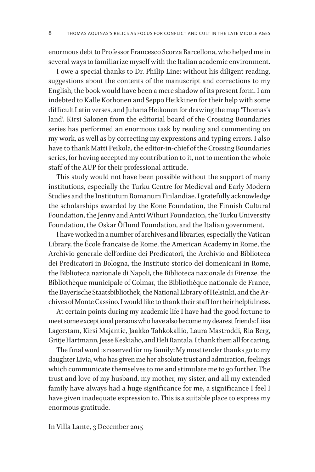enormous debt to Professor Francesco Scorza Barcellona, who helped me in several ways to familiarize myself with the Italian academic environment.

I owe a special thanks to Dr. Philip Line: without his diligent reading, suggestions about the contents of the manuscript and corrections to my English, the book would have been a mere shadow of its present form. I am indebted to Kalle Korhonen and Seppo Heikkinen for their help with some difficult Latin verses, and Juhana Heikonen for drawing the map 'Thomas's land'. Kirsi Salonen from the editorial board of the Crossing Boundaries series has performed an enormous task by reading and commenting on my work, as well as by correcting my expressions and typing errors. I also have to thank Matti Peikola, the editor-in-chief of the Crossing Boundaries series, for having accepted my contribution to it, not to mention the whole staff of the AUP for their professional attitude.

This study would not have been possible without the support of many institutions, especially the Turku Centre for Medieval and Early Modern Studies and the Institutum Romanum Finlandiae. I gratefully acknowledge the scholarships awarded by the Kone Foundation, the Finnish Cultural Foundation, the Jenny and Antti Wihuri Foundation, the Turku University Foundation, the Oskar Öflund Foundation, and the Italian government.

I have worked in a number of archives and libraries, especially the Vatican Library, the École française de Rome, the American Academy in Rome, the Archivio generale dell'ordine dei Predicatori, the Archivio and Biblioteca dei Predicatori in Bologna, the Instituto storico dei domenicani in Rome, the Biblioteca nazionale di Napoli, the Biblioteca nazionale di Firenze, the Bibliothèque municipale of Colmar, the Bibliothèque nationale de France, the Bayerische Staatsbibliothek, the National Library of Helsinki, and the Archives of Monte Cassino. I would like to thank their staff for their helpfulness.

At certain points during my academic life I have had the good fortune to meet some exceptional persons who have also become my dearest friends: Liisa Lagerstam, Kirsi Majantie, Jaakko Tahkokallio, Laura Mastroddi, Ria Berg, Gritje Hartmann, Jesse Keskiaho, and Heli Rantala. I thank them all for caring.

The final word is reserved for my family: My most tender thanks go to my daughter Livia, who has given me her absolute trust and admiration, feelings which communicate themselves to me and stimulate me to go further. The trust and love of my husband, my mother, my sister, and all my extended family have always had a huge significance for me, a significance I feel I have given inadequate expression to. This is a suitable place to express my enormous gratitude.

In Villa Lante, 3 December 2015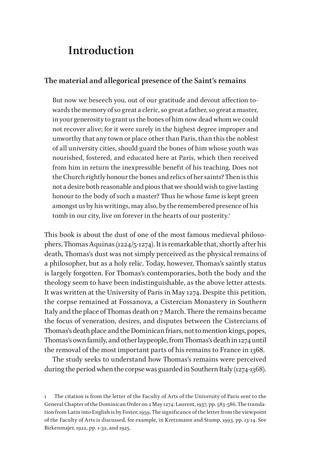## <span id="page-9-0"></span>**Introduction**

#### **The material and allegorical presence of the Saint's remains**

But now we beseech you, out of our gratitude and devout affection towards the memory of so great a cleric, so great a father, so great a master, in your generosity to grant us the bones of him now dead whom we could not recover alive; for it were surely in the highest degree improper and unworthy that any town or place other than Paris, than this the noblest of all university cities, should guard the bones of him whose youth was nourished, fostered, and educated here at Paris, which then received from him in return the inexpressible benefit of his teaching. Does not the Church rightly honour the bones and relics of her saints? Then is this not a desire both reasonable and pious that we should wish to give lasting honour to the body of such a master? Thus he whose fame is kept green amongst us by his writings, may also, by the remembered presence of his tomb in our city, live on forever in the hearts of our posterity.<sup>1</sup>

This book is about the dust of one of the most famous medieval philosophers, Thomas Aquinas (1224/5-1274). It is remarkable that, shortly after his death, Thomas's dust was not simply perceived as the physical remains of a philosopher, but as a holy relic. Today, however, Thomas's saintly status is largely forgotten. For Thomas's contemporaries, both the body and the theology seem to have been indistinguishable, as the above letter attests. It was written at the University of Paris in May 1274. Despite this petition, the corpse remained at Fossanova, a Cistercian Monastery in Southern Italy and the place of Thomas death on 7 March. There the remains became the focus of veneration, desires, and disputes between the Cistercians of Thomas's death place and the Dominican friars, not to mention kings, popes, Thomas's own family, and other laypeople, from Thomas's death in 1274 until the removal of the most important parts of his remains to France in 1368.

The study seeks to understand how Thomas's remains were perceived during the period when the corpse was guarded in Southern Italy (1274-1368).

<sup>1</sup> The citation is from the letter of the Faculty of Arts of the University of Paris sent to the General Chapter of the Dominican Order on 2 May 1274: Laurent, 1937, pp. 583-586. The translation from Latin into English is by Foster, 1959. The significance of the letter from the viewpoint of the Faculty of Arts is discussed, for example, in Kretzmann and Stump, 1993, pp. 13-14. See Birkenmajer, 1922, pp. 1-32, and 1925.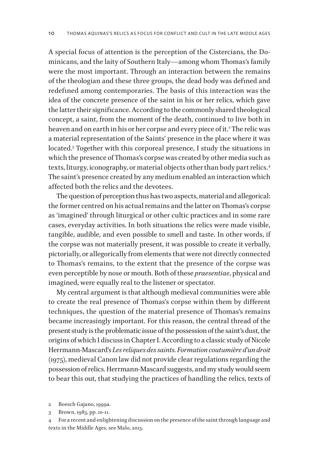A special focus of attention is the perception of the Cistercians, the Dominicans, and the laity of Southern Italy—among whom Thomas's family were the most important. Through an interaction between the remains of the theologian and these three groups, the dead body was defined and redefined among contemporaries. The basis of this interaction was the idea of the concrete presence of the saint in his or her relics, which gave the latter their significance. According to the commonly shared theological concept, a saint, from the moment of the death, continued to live both in heaven and on earth in his or her corpse and every piece of it.2 The relic was a material representation of the Saints' presence in the place where it was located.3 Together with this corporeal presence, I study the situations in which the presence of Thomas's corpse was created by other media such as texts, liturgy, iconography, or material objects other than body part relics.<sup>4</sup> The saint's presence created by any medium enabled an interaction which affected both the relics and the devotees.

The question of perception thus has two aspects, material and allegorical: the former centred on his actual remains and the latter on Thomas's corpse as 'imagined' through liturgical or other cultic practices and in some rare cases, everyday activities. In both situations the relics were made visible, tangible, audible, and even possible to smell and taste. In other words, if the corpse was not materially present, it was possible to create it verbally, pictorially, or allegorically from elements that were not directly connected to Thomas's remains, to the extent that the presence of the corpse was even perceptible by nose or mouth. Both of these *praesentiae*, physical and imagined, were equally real to the listener or spectator.

My central argument is that although medieval communities were able to create the real presence of Thomas's corpse within them by different techniques, the question of the material presence of Thomas's remains became increasingly important. For this reason, the central thread of the present study is the problematic issue of the possession of the saint's dust, the origins of which I discuss in Chapter I. According to a classic study of Nicole Herrmann-Mascard's *Les reliques des saints. Formation coutumière d'un droit*  (1975), medieval Canon law did not provide clear regulations regarding the possession of relics. Herrmann-Mascard suggests, and my study would seem to bear this out, that studying the practices of handling the relics, texts of

3 Brown, 1983, pp. 10-11.

<sup>2</sup> Boesch Gajano, 1999a.

<sup>4</sup> For a recent and enlightening discussion on the presence of the saint through language and texts in the Middle Ages, see Malo, 2013.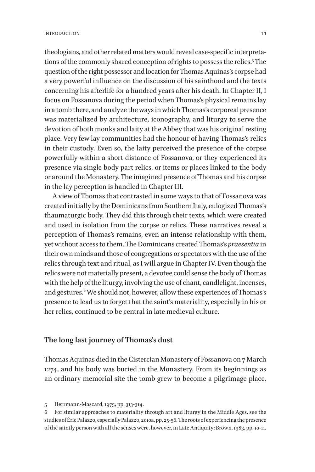<span id="page-11-0"></span>theologians, and other related matters would reveal case-specific interpretations of the commonly shared conception of rights to possess the relics.5 The question of the right possessor and location for Thomas Aquinas's corpse had a very powerful influence on the discussion of his sainthood and the texts concerning his afterlife for a hundred years after his death. In Chapter II, I focus on Fossanova during the period when Thomas's physical remains lay in a tomb there, and analyze the ways in which Thomas's corporeal presence was materialized by architecture, iconography, and liturgy to serve the devotion of both monks and laity at the Abbey that was his original resting place. Very few lay communities had the honour of having Thomas's relics in their custody. Even so, the laity perceived the presence of the corpse powerfully within a short distance of Fossanova, or they experienced its presence via single body part relics, or items or places linked to the body or around the Monastery. The imagined presence of Thomas and his corpse in the lay perception is handled in Chapter III.

A view of Thomas that contrasted in some ways to that of Fossanova was created initially by the Dominicans from Southern Italy, eulogized Thomas's thaumaturgic body. They did this through their texts, which were created and used in isolation from the corpse or relics. These narratives reveal a perception of Thomas's remains, even an intense relationship with them, yet without access to them. The Dominicans created Thomas's *praesentia* in their own minds and those of congregations or spectators with the use of the relics through text and ritual, as I will argue in Chapter IV. Even though the relics were not materially present, a devotee could sense the body of Thomas with the help of the liturgy, involving the use of chant, candlelight, incenses, and gestures.6 We should not, however, allow these experiences of Thomas's presence to lead us to forget that the saint's materiality, especially in his or her relics, continued to be central in late medieval culture.

#### **The long last journey of Thomas's dust**

Thomas Aquinas died in the Cistercian Monastery of Fossanova on 7 March 1274, and his body was buried in the Monastery. From its beginnings as an ordinary memorial site the tomb grew to become a pilgrimage place.

<sup>5</sup> Herrmann-Mascard, 1975, pp. 313-314.

<sup>6</sup> For similar approaches to materiality through art and liturgy in the Middle Ages, see the studies of Éric Palazzo, especially Palazzo, 2010a, pp. 25-56. The roots of experiencing the presence of the saintly person with all the senses were, however, in Late Antiquity: Brown, 1983, pp. 10-11.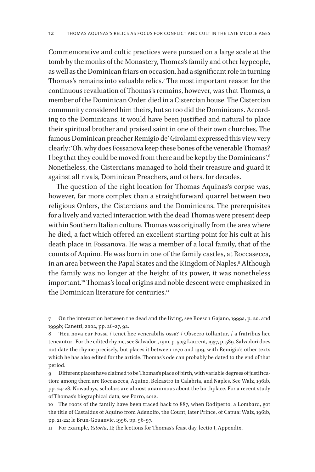Commemorative and cultic practices were pursued on a large scale at the tomb by the monks of the Monastery, Thomas's family and other laypeople, as well as the Dominican friars on occasion, had a significant role in turning Thomas's remains into valuable relics.7 The most important reason for the continuous revaluation of Thomas's remains, however, was that Thomas, a member of the Dominican Order, died in a Cistercian house. The Cistercian community considered him theirs, but so too did the Dominicans. According to the Dominicans, it would have been justified and natural to place their spiritual brother and praised saint in one of their own churches. The famous Dominican preacher Remigio de' Girolami expressed this view very clearly: 'Oh, why does Fossanova keep these bones of the venerable Thomas? I beg that they could be moved from there and be kept by the Dominicans'.<sup>8</sup> Nonetheless, the Cistercians managed to hold their treasure and guard it against all rivals, Dominican Preachers, and others, for decades.

The question of the right location for Thomas Aquinas's corpse was, however, far more complex than a straightforward quarrel between two religious Orders, the Cistercians and the Dominicans. The prerequisites for a lively and varied interaction with the dead Thomas were present deep within Southern Italian culture. Thomas was originally from the area where he died, a fact which offered an excellent starting point for his cult at his death place in Fossanova. He was a member of a local family, that of the counts of Aquino. He was born in one of the family castles, at Roccasecca, in an area between the Papal States and the Kingdom of Naples.9 Although the family was no longer at the height of its power, it was nonetheless important.<sup>10</sup> Thomas's local origins and noble descent were emphasized in the Dominican literature for centuries. $<sup>11</sup>$ </sup>

7 On the interaction between the dead and the living, see Boesch Gajano, 1999a, p. 20, and 1999b; Canetti, 2002, pp. 26-27, 92.

8 'Heu nova cur Fossa / tenet hec venerabilis ossa? / Obsecro tollantur, / a fratribus hec teneantur'. For the edited rhyme, see Salvadori, 1901, p. 505; Laurent, 1937, p. 589. Salvadori does not date the rhyme precisely, but places it between 1270 and 1319, with Remigio's other texts which he has also edited for the article. Thomas's ode can probably be dated to the end of that period.

9 Different places have claimed to be Thomas's place of birth, with variable degrees of justification: among them are Roccasecca, Aquino, Belcastro in Calabria, and Naples. See Walz, 1961b, pp. 24-28. Nowadays, scholars are almost unanimous about the birthplace. For a recent study of Thomas's biographical data, see Porro, 2012.

10 The roots of the family have been traced back to 887, when Rodiperto, a Lombard, got the title of Castaldus of Aquino from Adenolfo, the Count, later Prince, of Capua: Walz, 1961b, pp. 21-22; le Brun-Gouanvic, 1996, pp. 96-97.

11 For example, *Ystoria*, II; the lections for Thomas's feast day, lectio I, Appendix.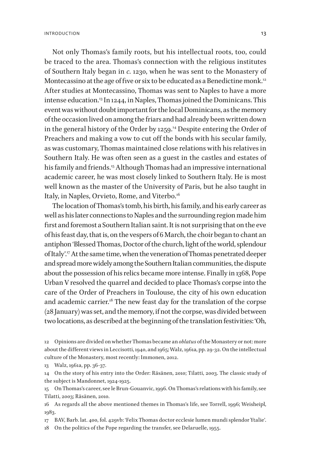Not only Thomas's family roots, but his intellectual roots, too, could be traced to the area. Thomas's connection with the religious institutes of Southern Italy began in *c.* 1230, when he was sent to the Monastery of Montecassino at the age of five or six to be educated as a Benedictine monk.<sup>12</sup> After studies at Montecassino, Thomas was sent to Naples to have a more intense education.<sup>13</sup> In 1244, in Naples, Thomas joined the Dominicans. This event was without doubt important for the local Dominicans, as the memory of the occasion lived on among the friars and had already been written down in the general history of the Order by 1259.<sup>14</sup> Despite entering the Order of Preachers and making a vow to cut off the bonds with his secular family, as was customary, Thomas maintained close relations with his relatives in Southern Italy. He was often seen as a guest in the castles and estates of his family and friends.<sup>15</sup> Although Thomas had an impressive international academic career, he was most closely linked to Southern Italy. He is most well known as the master of the University of Paris, but he also taught in Italy, in Naples, Orvieto, Rome, and Viterbo.<sup>16</sup>

The location of Thomas's tomb, his birth, his family, and his early career as well as his later connections to Naples and the surrounding region made him first and foremost a Southern Italian saint. It is not surprising that on the eve of his feast day, that is, on the vespers of 6 March, the choir began to chant an antiphon 'Blessed Thomas, Doctor of the church, light of the world, splendour of Italy'.17 At the same time, when the veneration of Thomas penetrated deeper and spread more widely among the Southern Italian communities, the dispute about the possession of his relics became more intense. Finally in 1368, Pope Urban V resolved the quarrel and decided to place Thomas's corpse into the care of the Order of Preachers in Toulouse, the city of his own education and academic carrier.<sup>18</sup> The new feast day for the translation of the corpse (28 January) was set, and the memory, if not the corpse, was divided between two locations, as described at the beginning of the translation festivities: 'Oh,

12 Opinions are divided on whether Thomas became an *oblatus* of the Monastery or not: more about the different views in Leccisotti, 1940, and 1965; Walz, 1961a, pp. 29-32. On the intellectual culture of the Monastery, most recently: Immonen, 2012.

13 Walz, 1961a, pp. 36-37.

14 On the story of his entry into the Order: Räsänen, 2010; Tilatti, 2003. The classic study of the subject is Mandonnet, 1924-1925.

15 On Thomas's career, see le Brun-Gouanvic, 1996. On Thomas's relations with his family, see Tilatti, 2003; Räsänen, 2010.

16 As regards all the above mentioned themes in Thomas's life, see Torrell, 1996; Weisheipl, 1983.

17 BAV, Barb. lat. 400, fol. 429vb: 'Felix Thomas doctor ecclesie lumen mundi splendor Ytalie'.

18 On the politics of the Pope regarding the transfer, see Delaruelle, 1955.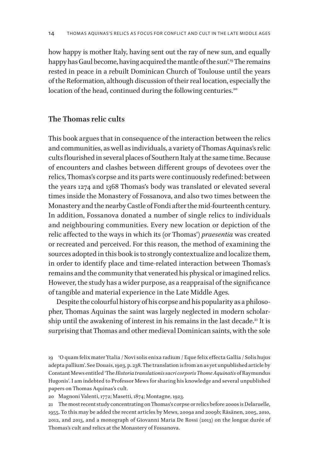<span id="page-14-0"></span>how happy is mother Italy, having sent out the ray of new sun, and equally happy has Gaul become, having acquired the mantle of the sun'.<sup>19</sup> The remains rested in peace in a rebuilt Dominican Church of Toulouse until the years of the Reformation, although discussion of their real location, especially the location of the head, continued during the following centuries.<sup>20</sup>

#### **The Thomas relic cults**

This book argues that in consequence of the interaction between the relics and communities, as well as individuals, a variety of Thomas Aquinas's relic cults flourished in several places of Southern Italy at the same time. Because of encounters and clashes between different groups of devotees over the relics, Thomas's corpse and its parts were continuously redefined: between the years 1274 and 1368 Thomas's body was translated or elevated several times inside the Monastery of Fossanova, and also two times between the Monastery and the nearby Castle of Fondi after the mid-fourteenth century. In addition, Fossanova donated a number of single relics to individuals and neighbouring communities. Every new location or depiction of the relic affected to the ways in which its (or Thomas') *praesentia* was created or recreated and perceived. For this reason, the method of examining the sources adopted in this book is to strongly contextualize and localize them, in order to identify place and time-related interaction between Thomas's remains and the community that venerated his physical or imagined relics. However, the study has a wider purpose, as a reappraisal of the significance of tangible and material experience in the Late Middle Ages.

Despite the colourful history of his corpse and his popularity as a philosopher, Thomas Aquinas the saint was largely neglected in modern scholarship until the awakening of interest in his remains in the last decade.<sup>21</sup> It is surprising that Thomas and other medieval Dominican saints, with the sole

20 Magnoni Valenti, 1772; Masetti, 1874; Montagne, 1923.

21 The most recent study concentrating on Thomas's corpse or relics before 2000s is Delaruelle, 1955. To this may be added the recent articles by Mews, 2009a and 2009b; Räsänen, 2005, 2010, 2012, and 2013, and a monograph of Giovanni Maria De Rossi (2013) on the longue durée of Thomas's cult and relics at the Monastery of Fossanova.

<sup>19</sup> 'O quam felix mater Ytalia / Novi solis enixa radium / Eque felix effecta Gallia / Solis hujus adepta pallium'. See Douais, 1903, p. 238. The translation is from an as yet unpublished article by Constant Mews entitled 'The *Historia translationis sacri corporis Thome Aquinatis* of Raymundus Hugonis'. I am indebted to Professor Mews for sharing his knowledge and several unpublished papers on Thomas Aquinas's cult.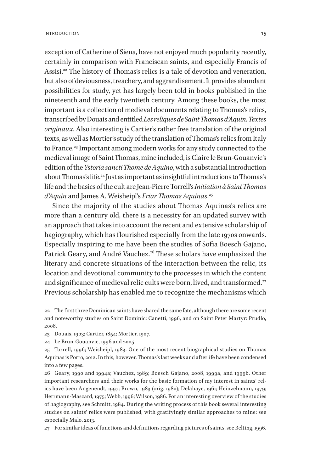exception of Catherine of Siena, have not enjoyed much popularity recently, certainly in comparison with Franciscan saints, and especially Francis of Assisi.<sup>22</sup> The history of Thomas's relics is a tale of devotion and veneration, but also of deviousness, treachery, and aggrandisement. It provides abundant possibilities for study, yet has largely been told in books published in the nineteenth and the early twentieth century. Among these books, the most important is a collection of medieval documents relating to Thomas's relics, transcribed by Douais and entitled *Les reliques de Saint Thomas d'Aquin. Textes originaux*. Also interesting is Cartier's rather free translation of the original texts, as well as Mortier's study of the translation of Thomas's relics from Italy to France.<sup>23</sup> Important among modern works for any study connected to the medieval image of Saint Thomas, mine included, is Claire le Brun-Gouanvic's edition of the *Ystoria sancti Thome de Aquino*, with a substantial introduction about Thomas's life.<sup>24</sup> Just as important as insightful introductions to Thomas's life and the basics of the cult are Jean-Pierre Torrell's *Initiation à Saint Thomas d'Aquin* and James A. Weisheipl's *Friar Thomas Aquinas*. 25

Since the majority of the studies about Thomas Aquinas's relics are more than a century old, there is a necessity for an updated survey with an approach that takes into account the recent and extensive scholarship of hagiography, which has flourished especially from the late 1970s onwards. Especially inspiring to me have been the studies of Sofia Boesch Gajano, Patrick Geary, and André Vauchez.<sup>26</sup> These scholars have emphasized the literary and concrete situations of the interaction between the relic, its location and devotional community to the processes in which the content and significance of medieval relic cults were born, lived, and transformed.<sup>27</sup> Previous scholarship has enabled me to recognize the mechanisms which

22 The first three Dominican saints have shared the same fate, although there are some recent and noteworthy studies on Saint Dominic: Canetti, 1996, and on Saint Peter Martyr: Prudlo, 2008.

23 Douais, 1903; Cartier, 1854; Mortier, 1907.

24 Le Brun-Gouanvic, 1996 and 2005.

25 Torrell, 1996; Weisheipl, 1983. One of the most recent biographical studies on Thomas Aquinas is Porro, 2012. In this, however, Thomas's last weeks and afterlife have been condensed into a few pages.

26 Geary, 1990 and 1994a; Vauchez, 1989; Boesch Gajano, 2008, 1999a, and 1999b. Other important researchers and their works for the basic formation of my interest in saints' relics have been Angenendt, 1997; Brown, 1983 (orig. 1980); Delahaye, 1961; Heinzelmann, 1979; Herrmann-Mascard, 1975; Webb, 1996; Wilson, 1986. For an interesting overview of the studies of hagiography, see Schmitt, 1984. During the writing process of this book several interesting studies on saints' relics were published, with gratifyingly similar approaches to mine: see especially Malo, 2013.

27 For similar ideas of functions and definitions regarding pictures of saints, see Belting, 1996.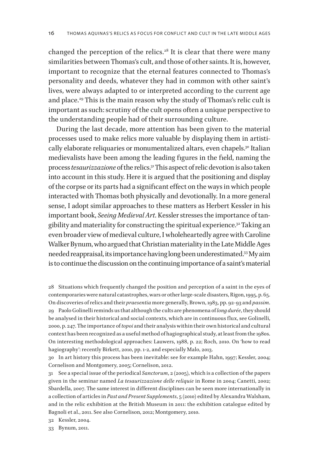changed the perception of the relics.<sup>28</sup> It is clear that there were many similarities between Thomas's cult, and those of other saints. It is, however, important to recognize that the eternal features connected to Thomas's personality and deeds, whatever they had in common with other saint's lives, were always adapted to or interpreted according to the current age and place.<sup>29</sup> This is the main reason why the study of Thomas's relic cult is important as such: scrutiny of the cult opens often a unique perspective to the understanding people had of their surrounding culture.

During the last decade, more attention has been given to the material processes used to make relics more valuable by displaying them in artistically elaborate reliquaries or monumentalized altars, even chapels.<sup>30</sup> Italian medievalists have been among the leading figures in the field, naming the process *tesaurizzazione* of the relics.31 This aspect of relic devotion is also taken into account in this study. Here it is argued that the positioning and display of the corpse or its parts had a significant effect on the ways in which people interacted with Thomas both physically and devotionally. In a more general sense, I adopt similar approaches to these matters as Herbert Kessler in his important book, *Seeing Medieval Art*. Kessler stresses the importance of tangibility and materiality for constructing the spiritual experience.32 Taking an even broader view of medieval culture, I wholeheartedly agree with Caroline Walker Bynum, who argued that Christian materiality in the Late Middle Ages needed reappraisal, its importance having long been underestimated.33 My aim is to continue the discussion on the continuing importance of a saint's material

30 In art history this process has been inevitable: see for example Hahn, 1997; Kessler, 2004; Cornelison and Montgomery, 2005; Cornelison, 2012.

31 See a special issue of the periodical *Sanctorum*, 2 (2005), which is a collection of the papers given in the seminar named *La tesaurizzazione delle reliquie* in Rome in 2004; Canetti, 2002; Sbardella, 2007. The same interest in different disciplines can be seen more internationally in a collection of articles in *Past and Present Supplements*, 5 (2010) edited by Alexandra Walsham, and in the relic exhibition at the British Museum in 2011: the exhibition catalogue edited by Bagnoli et al., 2011. See also Cornelison, 2012; Montgomery, 2010.

32 Kessler, 2004.

33 Bynum, 2011.

<sup>28</sup> Situations which frequently changed the position and perception of a saint in the eyes of contemporaries were natural catastrophes, wars or other large-scale disasters, Rigon, 1995, p. 65. On discoveries of relics and their *praesentia* more generally, Brown, 1983, pp. 92-93 and *passim*. 29 Paolo Golinelli reminds us that although the cults are phenomena of *long durée*, they should be analysed in their historical and social contexts, which are in continuous flux, see Golinelli, 2000, p. 247. The importance of *topoi* and their analysis within their own historical and cultural context has been recognized as a useful method of hagiographical study, at least from the 1980s. On interesting methodological approaches: Lauwers, 1988, p. 22; Roch, 2010. On 'how to read hagiography': recently Birkett, 2010, pp. 1-2, and especially Malo, 2013.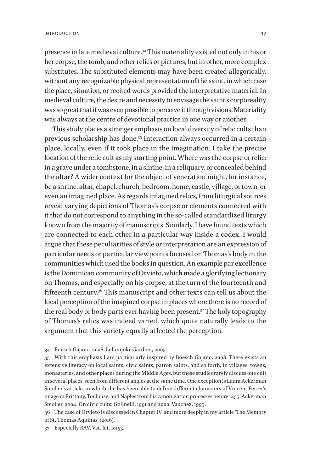presence in late medieval culture.34 This materiality existed not only in his or her corpse, the tomb, and other relics or pictures, but in other, more complex substitutes. The substituted elements may have been created allegorically, without any recognizable physical representation of the saint, in which case the place, situation, or recited words provided the interpretative material. In medieval culture, the desire and necessity to envisage the saint's corporeality was so great that it was even possible to perceive it through visions. Materiality was always at the centre of devotional practice in one way or another.

This study places a stronger emphasis on local diversity of relic cults than previous scholarship has done.35 Interaction always occurred in a certain place, locally, even if it took place in the imagination. I take the precise location of the relic cult as my starting point. Where was the corpse or relic: in a grave under a tombstone, in a shrine, in a reliquary, or concealed behind the altar? A wider context for the object of veneration might, for instance, be a shrine, altar, chapel, church, bedroom, home, castle, village, or town, or even an imagined place. As regards imagined relics, from liturgical sources reveal varying depictions of Thomas's corpse or elements connected with it that do not correspond to anything in the so-called standardized liturgy known from the majority of manuscripts. Similarly, I have found texts which are connected to each other in a particular way inside a codex. I would argue that these peculiarities of style or interpretation are an expression of particular needs or particular viewpoints focused on Thomas's body in the communities which used the books in question. An example par excellence is the Dominican community of Orvieto, which made a glorifying lectionary on Thomas, and especially on his corpse, at the turn of the fourteenth and fifteenth century.36 This manuscript and other texts can tell us about the local perception of the imagined corpse in places where there is no record of the real body or body parts ever having been present.<sup>37</sup> The holy topography of Thomas's relics was indeed varied, which quite naturally leads to the argument that this variety equally affected the perception.

<sup>34</sup> Boesch Gajano, 2008; Lehmijoki-Gardner, 2005.

<sup>35</sup> With this emphasis I am particularly inspired by Boesch Gajano, 2008. There exists an extensive literacy on local saints, civic saints, patron saints, and so forth, in villages, towns, monasteries, and other places during the Middle Ages, but these studies rarely discuss one cult in several places, seen from different angles at the same time. One exception is Laura Ackerman Smoller's article, in which she has been able to define different characters of Vincent Ferrer's image in Brittany, Toulouse, and Naples from his canonization processes before 1455: Ackerman Smoller, 2004. On civic cults: Golinelli, 1991 and 2000; Vauchez, 1995.

<sup>36</sup> The case of Orvieto is discussed in Chapter IV, and more deeply in my article 'The Memory of St. Thomas Aquinas' (2016).

<sup>37</sup> Especially BAV, Vat. lat. 10153.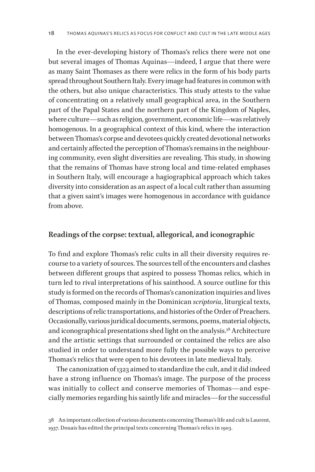<span id="page-18-0"></span>In the ever-developing history of Thomas's relics there were not one but several images of Thomas Aquinas—indeed, I argue that there were as many Saint Thomases as there were relics in the form of his body parts spread throughout Southern Italy. Every image had features in common with the others, but also unique characteristics. This study attests to the value of concentrating on a relatively small geographical area, in the Southern part of the Papal States and the northern part of the Kingdom of Naples, where culture—such as religion, government, economic life—was relatively homogenous. In a geographical context of this kind, where the interaction between Thomas's corpse and devotees quickly created devotional networks and certainly affected the perception of Thomas's remains in the neighbouring community, even slight diversities are revealing. This study, in showing that the remains of Thomas have strong local and time-related emphases in Southern Italy, will encourage a hagiographical approach which takes diversity into consideration as an aspect of a local cult rather than assuming that a given saint's images were homogenous in accordance with guidance from above.

#### **Readings of the corpse: textual, allegorical, and iconographic**

To find and explore Thomas's relic cults in all their diversity requires recourse to a variety of sources. The sources tell of the encounters and clashes between different groups that aspired to possess Thomas relics, which in turn led to rival interpretations of his sainthood. A source outline for this study is formed on the records of Thomas's canonization inquiries and lives of Thomas, composed mainly in the Dominican *scriptoria*, liturgical texts, descriptions of relic transportations, and histories of the Order of Preachers. Occasionally, various juridical documents, sermons, poems, material objects, and iconographical presentations shed light on the analysis.<sup>38</sup> Architecture and the artistic settings that surrounded or contained the relics are also studied in order to understand more fully the possible ways to perceive Thomas's relics that were open to his devotees in late medieval Italy.

The canonization of 1323 aimed to standardize the cult, and it did indeed have a strong influence on Thomas's image. The purpose of the process was initially to collect and conserve memories of Thomas—and especially memories regarding his saintly life and miracles—for the successful

<sup>38</sup> An important collection of various documents concerning Thomas's life and cult is Laurent, 1937. Douais has edited the principal texts concerning Thomas's relics in 1903.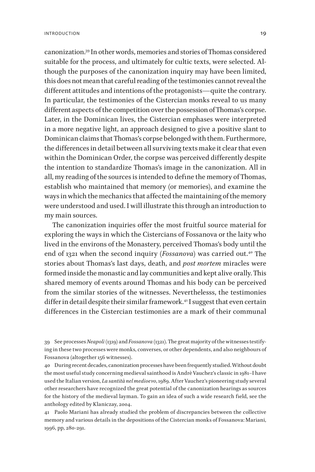canonization.39 In other words, memories and stories of Thomas considered suitable for the process, and ultimately for cultic texts, were selected. Although the purposes of the canonization inquiry may have been limited, this does not mean that careful reading of the testimonies cannot reveal the different attitudes and intentions of the protagonists—quite the contrary. In particular, the testimonies of the Cistercian monks reveal to us many different aspects of the competition over the possession of Thomas's corpse. Later, in the Dominican lives, the Cistercian emphases were interpreted in a more negative light, an approach designed to give a positive slant to Dominican claims that Thomas's corpse belonged with them. Furthermore, the differences in detail between all surviving texts make it clear that even within the Dominican Order, the corpse was perceived differently despite the intention to standardize Thomas's image in the canonization. All in all, my reading of the sources is intended to define the memory of Thomas, establish who maintained that memory (or memories), and examine the ways in which the mechanics that affected the maintaining of the memory were understood and used. I will illustrate this through an introduction to my main sources.

The canonization inquiries offer the most fruitful source material for exploring the ways in which the Cistercians of Fossanova or the laity who lived in the environs of the Monastery, perceived Thomas's body until the end of 1321 when the second inquiry (*Fossanova*) was carried out.<sup>40</sup> The stories about Thomas's last days, death, and *post mortem* miracles were formed inside the monastic and lay communities and kept alive orally. This shared memory of events around Thomas and his body can be perceived from the similar stories of the witnesses. Neverthelesss, the testimonies differ in detail despite their similar framework.<sup>41</sup> I suggest that even certain differences in the Cistercian testimonies are a mark of their communal

39 See processes *Neapoli* (1319) and *Fossanova* (1321). The great majority of the witnesses testifying in these two processes were monks, converses, or other dependents, and also neighbours of Fossanova (altogether 156 witnesses).

40 During recent decades, canonization processes have been frequently studied. Without doubt the most useful study concerning medieval sainthood is Andrè Vauchez's classic in 1981–I have used the Italian version, *La santità nel medioevo*, 1989. After Vauchez's pioneering study several other researchers have recognized the great potential of the canonization hearings as sources for the history of the medieval layman. To gain an idea of such a wide research field, see the anthology edited by Klaniczay, 2004.

41 Paolo Mariani has already studied the problem of discrepancies between the collective memory and various details in the depositions of the Cistercian monks of Fossanova: Mariani, 1996, pp, 280-291.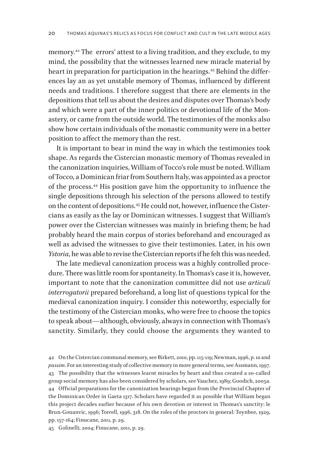memory.42 The errors' attest to a living tradition, and they exclude, to my mind, the possibility that the witnesses learned new miracle material by heart in preparation for participation in the hearings.<sup>43</sup> Behind the differences lay an as yet unstable memory of Thomas, influenced by different needs and traditions. I therefore suggest that there are elements in the depositions that tell us about the desires and disputes over Thomas's body and which were a part of the inner politics or devotional life of the Monastery, or came from the outside world. The testimonies of the monks also show how certain individuals of the monastic community were in a better position to affect the memory than the rest.

It is important to bear in mind the way in which the testimonies took shape. As regards the Cistercian monastic memory of Thomas revealed in the canonization inquiries, William of Tocco's role must be noted. William of Tocco, a Dominican friar from Southern Italy, was appointed as a proctor of the process.44 His position gave him the opportunity to influence the single depositions through his selection of the persons allowed to testify on the content of depositions.45 He could not, however, influence the Cistercians as easily as the lay or Dominican witnesses. I suggest that William's power over the Cistercian witnesses was mainly in briefing them; he had probably heard the main corpus of stories beforehand and encouraged as well as advised the witnesses to give their testimonies. Later, in his own *Ystoria*, he was able to revise the Cistercian reports if he felt this was needed.

The late medieval canonization process was a highly controlled procedure. There was little room for spontaneity. In Thomas's case it is, however, important to note that the canonization committee did not use *articuli interrogatorii* prepared beforehand, a long list of questions typical for the medieval canonization inquiry. I consider this noteworthy, especially for the testimony of the Cistercian monks, who were free to choose the topics to speak about—although, obviously, always in connection with Thomas's sanctity. Similarly, they could choose the arguments they wanted to

45 Golinelli, 2004; Finucane, 2011, p. 29.

<sup>42</sup> On the Cistercian communal memory, see Birkett, 2010, pp. 115-119; Newman, 1996, p. 10 and *passim*. For an interesting study of collective memory in more general terms, see Assmann, 1997. 43 The possibility that the witnesses learnt miracles by heart and thus created a so-called group social memory has also been considered by scholars, see Vauchez, 1989; Goodich, 2005a. 44 Official preparations for the canonization hearings began from the Provincial Chapter of the Dominican Order in Gaeta 1317. Scholars have regarded it as possible that William began this project decades earlier because of his own devotion or interest in Thomas's sanctity: le Brun-Gouanvic, 1996; Torrell, 1996, 318. On the roles of the proctors in general: Toynbee, 1929, pp. 157-164; Finucane, 2011, p. 29.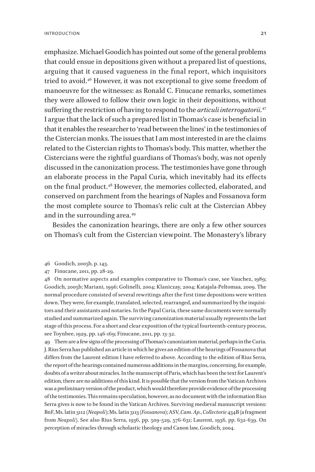emphasize. Michael Goodich has pointed out some of the general problems that could ensue in depositions given without a prepared list of questions, arguing that it caused vagueness in the final report, which inquisitors tried to avoid.46 However, it was not exceptional to give some freedom of manoeuvre for the witnesses: as Ronald C. Finucane remarks, sometimes they were allowed to follow their own logic in their depositions, without suffering the restriction of having to respond to the *articuli interrogatorii*. 47 I argue that the lack of such a prepared list in Thomas's case is beneficial in that it enables the researcher to 'read between the lines' in the testimonies of the Cistercian monks. The issues that I am most interested in are the claims related to the Cistercian rights to Thomas's body. This matter, whether the Cistercians were the rightful guardians of Thomas's body, was not openly discussed in the canonization process. The testimonies have gone through an elaborate process in the Papal Curia, which inevitably had its effects on the final product.48 However, the memories collected, elaborated, and conserved on parchment from the hearings of Naples and Fossanova form the most complete source to Thomas's relic cult at the Cistercian Abbey and in the surrounding area.<sup>49</sup>

Besides the canonization hearings, there are only a few other sources on Thomas's cult from the Cistercian viewpoint. The Monastery's library

- 46 Goodich, 2005b, p. 143.
- 47 Finucane, 2011, pp. 28-29.

48 On normative aspects and examples comparative to Thomas's case, see Vauchez, 1989; Goodich, 2005b; Mariani, 1996; Golinelli, 2004; Klaniczay, 2004; Katajala-Peltomaa, 2009. The normal procedure consisted of several rewritings after the first time depositions were written down. They were, for example, translated, selected, rearranged, and summarized by the inquisitors and their assistants and notaries. In the Papal Curia, these same documents were normally studied and summarized again. The surviving canonization material usually represents the last stage of this process. For a short and clear exposition of the typical fourteenth-century process, see Toynbee, 1929, pp. 146-169; Finucane, 2011, pp. 13-32.

49 There are a few signs of the processing of Thomas's canonization material, perhaps in the Curia. J. Rius Serra has published an article in which he gives an edition of the hearings of Fossanova that differs from the Laurent edition I have referred to above. According to the edition of Rius Serra, the report of the hearings contained numerous additions in the margins, concerning, for example, doubts of a writer about miracles. In the manuscript of Paris, which has been the text for Laurent's edition, there are no additions of this kind. It is possible that the version from the Vatican Archives was a preliminary version of the product, which would therefore provide evidence of the processing of the testimonies. This remains speculation, however, as no document with the information Rius Serra gives is now to be found in the Vatican Archives. Surviving medieval manuscript versions: BnF, Ms. latin 3112 (*Neapoli*); Ms. latin 3113 (*Fossanova*); ASV, *Cam. Ap.*, *Collectorie* 434B (a fragment from *Neapoli*). See also Rius Serra, 1936, pp. 509-529, 576-631; Laurent, 1936, pp. 632-639. On perception of miracles through scholastic theology and Canon law, Goodich, 2004.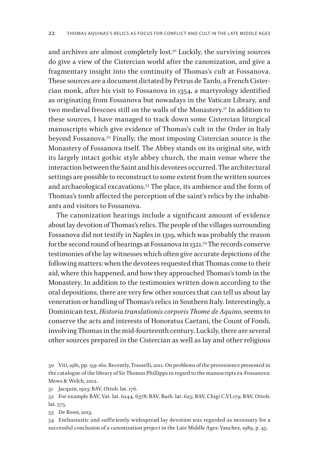and archives are almost completely lost.50 Luckily, the surviving sources do give a view of the Cistercian world after the canonization, and give a fragmentary insight into the continuity of Thomas's cult at Fossanova. These sources are a document dictated by Petrus de Tardo, a French Cistercian monk, after his visit to Fossanova in 1354, a martyrology identified as originating from Fossanova but nowadays in the Vatican Library, and two medieval frescoes still on the walls of the Monastery.<sup>51</sup> In addition to these sources, I have managed to track down some Cistercian liturgical manuscripts which give evidence of Thomas's cult in the Order in Italy beyond Fossanova.52 Finally, the most imposing Cistercian source is the Monastery of Fossanova itself. The Abbey stands on its original site, with its largely intact gothic style abbey church, the main venue where the interaction between the Saint and his devotees occurred. The architectural settings are possible to reconstruct to some extent from the written sources and archaeological excavations.53 The place, its ambience and the form of Thomas's tomb affected the perception of the saint's relics by the inhabitants and visitors to Fossanova.

The canonization hearings include a significant amount of evidence about lay devotion of Thomas's relics. The people of the villages surrounding Fossanova did not testify in Naples in 1319, which was probably the reason for the second round of hearings at Fossanova in 1321.<sup>54</sup> The records conserve testimonies of the lay witnesses which often give accurate depictions of the following matters: when the devotees requested that Thomas come to their aid, where this happened, and how they approached Thomas's tomb in the Monastery. In addition to the testimonies written down according to the oral depositions, there are very few other sources that can tell us about lay veneration or handling of Thomas's relics in Southern Italy. Interestingly, a Dominican text, *Historia translationis corporis Thome de Aquino*, seems to conserve the acts and interests of Honoratus Caetani, the Count of Fondi, involving Thomas in the mid-fourteenth century. Luckily, there are several other sources prepared in the Cistercian as well as lay and other religious

<sup>50</sup> Viti, 1981, pp. 159-160. Recently, Trasselli, 2011. On problems of the provenience presented in the catalogue of the library of Sir Thomas Phillipps in regard to the manuscripts ex-Fossanova: Mews & Welch, 2012.

<sup>51</sup> Jacquin, 1923; BAV, Ottob. lat. 176.

<sup>52</sup> For example BAV, Vat. lat. 6244, 6378; BAV, Barb. lat. 625; BAV, Chigi C.VI.179; BAV, Ottob. lat. 575.

<sup>53</sup> De Rossi, 2013.

<sup>54</sup> Enthusiastic and sufficiently widespread lay devotion was regarded as necessary for a successful conclusion of a canonization project in the Late Middle Ages: Vauchez, 1989, p. 45.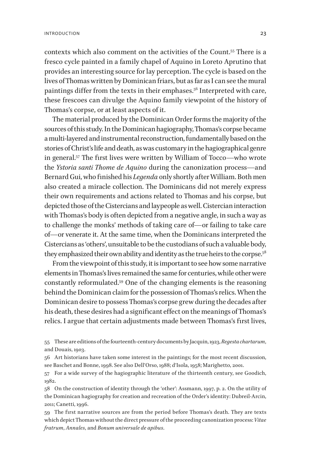contexts which also comment on the activities of the Count.55 There is a fresco cycle painted in a family chapel of Aquino in Loreto Aprutino that provides an interesting source for lay perception. The cycle is based on the lives of Thomas written by Dominican friars, but as far as I can see the mural paintings differ from the texts in their emphases.56 Interpreted with care, these frescoes can divulge the Aquino family viewpoint of the history of Thomas's corpse, or at least aspects of it.

The material produced by the Dominican Order forms the majority of the sources of this study. In the Dominican hagiography, Thomas's corpse became a multi-layered and instrumental reconstruction, fundamentally based on the stories of Christ's life and death, as was customary in the hagiographical genre in general.57 The first lives were written by William of Tocco—who wrote the *Ystoria santi Thome de Aquino* during the canonization process—and Bernard Gui, who finished his *Legenda* only shortly after William. Both men also created a miracle collection. The Dominicans did not merely express their own requirements and actions related to Thomas and his corpse, but depicted those of the Cistercians and laypeople as well. Cistercian interaction with Thomas's body is often depicted from a negative angle, in such a way as to challenge the monks' methods of taking care of—or failing to take care of—or venerate it. At the same time, when the Dominicans interpreted the Cistercians as 'others', unsuitable to be the custodians of such a valuable body, they emphasized their own ability and identity as the true heirs to the corpse.<sup>58</sup>

From the viewpoint of this study, it is important to see how some narrative elements in Thomas's lives remained the same for centuries, while other were constantly reformulated.59 One of the changing elements is the reasoning behind the Dominican claim for the possession of Thomas's relics. When the Dominican desire to possess Thomas's corpse grew during the decades after his death, these desires had a significant effect on the meanings of Thomas's relics. I argue that certain adjustments made between Thomas's first lives,

55 These are editions of the fourteenth-century documents by Jacquin, 1923, *Regesta chartarum*, and Douais, 1903.

56 Art historians have taken some interest in the paintings; for the most recent discussion, see Baschet and Bonne, 1998. See also Dell'Orso, 1988; d'Isola, 1958; Marighetto, 2001.

57 For a wide survey of the hagiographic literature of the thirteenth century, see Goodich, 1982.

58 On the construction of identity through the 'other': Assmann, 1997, p. 2. On the utility of the Dominican hagiography for creation and recreation of the Order's identity: Dubreil-Arcin, 2011; Canetti, 1996.

59 The first narrative sources are from the period before Thomas's death. They are texts which depict Thomas without the direct pressure of the proceeding canonization process: *Vitae fratrum*, *Annales*, and *Bonum universale de apibus*.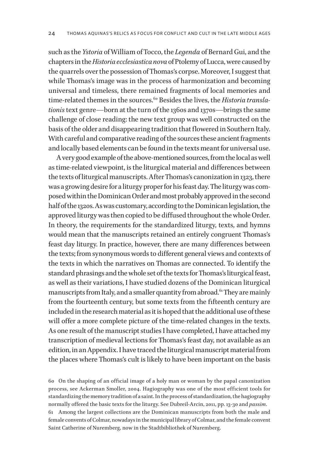such as the *Ystoria* of William of Tocco, the *Legenda* of Bernard Gui, and the chapters in the *Historia ecclesiastica nova* of Ptolemy of Lucca, were caused by the quarrels over the possession of Thomas's corpse. Moreover, I suggest that while Thomas's image was in the process of harmonization and becoming universal and timeless, there remained fragments of local memories and time-related themes in the sources.<sup>60</sup> Besides the lives, the *Historia translationis* text genre—born at the turn of the 1360s and 1370s—brings the same challenge of close reading: the new text group was well constructed on the basis of the older and disappearing tradition that flowered in Southern Italy. With careful and comparative reading of the sources these ancient fragments and locally based elements can be found in the texts meant for universal use.

A very good example of the above-mentioned sources, from the local as well as time-related viewpoint, is the liturgical material and differences between the texts of liturgical manuscripts. After Thomas's canonization in 1323, there was a growing desire for a liturgy proper for his feast day. The liturgy was composed within the Dominican Order and most probably approved in the second half of the 1320s. As was customary, according to the Dominican legislation, the approved liturgy was then copied to be diffused throughout the whole Order. In theory, the requirements for the standardized liturgy, texts, and hymns would mean that the manuscripts retained an entirely congruent Thomas's feast day liturgy. In practice, however, there are many differences between the texts; from synonymous words to different general views and contexts of the texts in which the narratives on Thomas are connected. To identify the standard phrasings and the whole set of the texts for Thomas's liturgical feast, as well as their variations, I have studied dozens of the Dominican liturgical manuscripts from Italy, and a smaller quantity from abroad. $61$  They are mainly from the fourteenth century, but some texts from the fifteenth century are included in the research material as it is hoped that the additional use of these will offer a more complete picture of the time-related changes in the texts. As one result of the manuscript studies I have completed, I have attached my transcription of medieval lections for Thomas's feast day, not available as an edition, in an Appendix. I have traced the liturgical manuscript material from the places where Thomas's cult is likely to have been important on the basis

<sup>60</sup> On the shaping of an official image of a holy man or woman by the papal canonization process, see Ackerman Smoller, 2004. Hagiography was one of the most efficient tools for standardizing the memory tradition of a saint. In the process of standardization, the hagiography normally offered the basic texts for the liturgy. See Dubreil-Arcin, 2011, pp. 13-30 and *passim*. 61 Among the largest collections are the Dominican manuscripts from both the male and female convents of Colmar, nowadays in the municipal library of Colmar, and the female convent Saint Catherine of Nuremberg, now in the Stadtbibliothek of Nuremberg.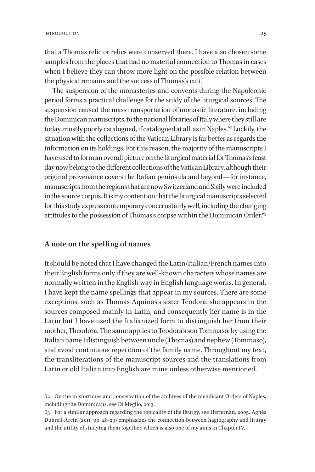<span id="page-25-0"></span>that a Thomas relic or relics were conserved there. I have also chosen some samples from the places that had no material connection to Thomas in cases when I believe they can throw more light on the possible relation between the physical remains and the success of Thomas's cult.

The suspension of the monasteries and convents during the Napoleonic period forms a practical challenge for the study of the liturgical sources. The suspension caused the mass transportation of monastic literature, including the Dominican manuscripts, to the national libraries of Italy where they still are today, mostly poorly catalogued, if catalogued at all, as in Naples.<sup>62</sup> Luckily, the situation with the collections of the Vatican Library is far better as regards the information on its holdings. For this reason, the majority of the manuscripts I have used to form an overall picture on the liturgical material for Thomas's feast day now belong to the different collections of the Vatican Library, although their original provenance covers the Italian peninsula and beyond—for instance, manuscripts from the regions that are now Switzerland and Sicily were included in the source corpus. It is my contention that the liturgical manuscripts selected for this study express contemporary concerns fairly well, including the changing attitudes to the possession of Thomas's corpse within the Dominican Order.<sup>63</sup>

#### **A note on the spelling of names**

It should be noted that I have changed the Latin/Italian/French names into their English forms only if they are well-known characters whose names are normally written in the English way in English language works. In general, I have kept the name spellings that appear in my sources. There are some exceptions, such as Thomas Aquinas's sister Teodora: she appears in the sources composed mainly in Latin, and consequently her name is in the Latin but I have used the Italianized form to distinguish her from their mother, Theodora. The same applies to Teodora's son Tommaso: by using the Italian name I distinguish between uncle (Thomas) and nephew (Tommaso), and avoid continuous repetition of the family name. Throughout my text, the transliterations of the manuscript sources and the translations from Latin or old Italian into English are mine unless otherwise mentioned.

<sup>62</sup> On the misfortunes and conservation of the archives of the mendicant Orders of Naples, including the Dominicans, see Di Meglio, 2013.

<sup>63</sup> For a similar approach regarding the topicality of the liturgy, see Heffernan, 2005. Agnès Dubreil-Arcin (2011, pp. 28-29) emphasizes the connection between hagiography and liturgy and the utility of studying them together, which is also one of my aims in Chapter IV.